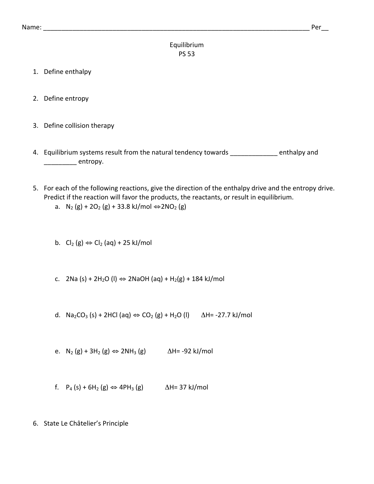## Equilibrium PS 53

- 1. Define enthalpy
- 2. Define entropy
- 3. Define collision therapy
- 4. Equilibrium systems result from the natural tendency towards \_\_\_\_\_\_\_\_\_\_\_\_\_ enthalpy and entropy.
- 5. For each of the following reactions, give the direction of the enthalpy drive and the entropy drive. Predict if the reaction will favor the products, the reactants, or result in equilibrium.

a. 
$$
N_2(g) + 2O_2(g) + 33.8 \text{ kJ/mol} \Leftrightarrow 2NO_2(g)
$$

b. Cl<sub>2</sub> (g)  $\Leftrightarrow$  Cl<sub>2</sub> (aq) + 25 kJ/mol

- c. 2Na (s) + 2H<sub>2</sub>O (l)  $\Leftrightarrow$  2NaOH (aq) + H<sub>2</sub>(g) + 184 kJ/mol
- d. Na<sub>2</sub>CO<sub>3</sub> (s) + 2HCl (aq)  $\Leftrightarrow$  CO<sub>2</sub> (g) + H<sub>2</sub>O (l)  $\Delta$ H= -27.7 kJ/mol
- e.  $N_2$  (g) + 3H<sub>2</sub> (g)  $\Leftrightarrow$  2NH<sub>3</sub> (g)  $\Delta$ H= -92 kJ/mol
- f.  $P_4$  (s) + 6H<sub>2</sub> (g)  $\Leftrightarrow$  4PH<sub>3</sub> (g)  $\Delta$ H= 37 kJ/mol
- 6. State Le Châtelier's Principle